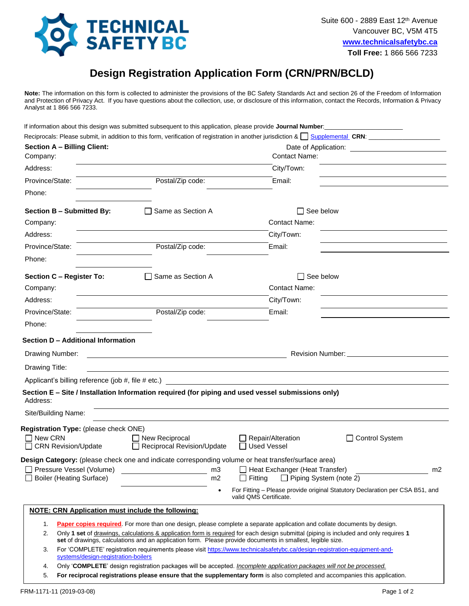

## **Design Registration Application Form (CRN/PRN/BCLD)**

**Note:** The information on this form is collected to administer the provisions of the BC Safety Standards Act and section 26 of the Freedom of Information and Protection of Privacy Act. If you have questions about the collection, use, or disclosure of this information, contact the Records, Information & Privacy Analyst at 1 866 566 7233.

If information about this design was submitted subsequent to this application, please provide Journal Number:

| <b>Section A - Billing Client:</b>                                                                  |                                                                                                                       |                                                                                                                                                                                                                                                     |                                                                                                                                                                                                                                |
|-----------------------------------------------------------------------------------------------------|-----------------------------------------------------------------------------------------------------------------------|-----------------------------------------------------------------------------------------------------------------------------------------------------------------------------------------------------------------------------------------------------|--------------------------------------------------------------------------------------------------------------------------------------------------------------------------------------------------------------------------------|
| Company:                                                                                            |                                                                                                                       | <b>Contact Name:</b>                                                                                                                                                                                                                                |                                                                                                                                                                                                                                |
| Address:                                                                                            |                                                                                                                       | City/Town:                                                                                                                                                                                                                                          | <u> 1989 - Johann Barbara, martin amerikan personal (</u>                                                                                                                                                                      |
| Province/State:                                                                                     | Postal/Zip code:                                                                                                      | Email:                                                                                                                                                                                                                                              |                                                                                                                                                                                                                                |
| Phone:                                                                                              |                                                                                                                       |                                                                                                                                                                                                                                                     |                                                                                                                                                                                                                                |
| Section B - Submitted By:                                                                           | □ Same as Section A                                                                                                   | $\Box$ See below                                                                                                                                                                                                                                    |                                                                                                                                                                                                                                |
| Company:                                                                                            |                                                                                                                       | <b>Contact Name:</b>                                                                                                                                                                                                                                |                                                                                                                                                                                                                                |
| Address:                                                                                            |                                                                                                                       | City/Town:                                                                                                                                                                                                                                          |                                                                                                                                                                                                                                |
| Province/State:                                                                                     | Postal/Zip code:                                                                                                      | Email:                                                                                                                                                                                                                                              |                                                                                                                                                                                                                                |
| Phone:                                                                                              |                                                                                                                       |                                                                                                                                                                                                                                                     |                                                                                                                                                                                                                                |
| <b>Section C - Register To:</b>                                                                     | □ Same as Section A                                                                                                   | $\Box$ See below                                                                                                                                                                                                                                    |                                                                                                                                                                                                                                |
| Company:                                                                                            |                                                                                                                       | <b>Contact Name:</b>                                                                                                                                                                                                                                |                                                                                                                                                                                                                                |
| Address:                                                                                            |                                                                                                                       | City/Town:                                                                                                                                                                                                                                          |                                                                                                                                                                                                                                |
| Province/State:                                                                                     | Postal/Zip code:                                                                                                      | Email:                                                                                                                                                                                                                                              |                                                                                                                                                                                                                                |
| Phone:                                                                                              |                                                                                                                       |                                                                                                                                                                                                                                                     |                                                                                                                                                                                                                                |
| Section D - Additional Information                                                                  |                                                                                                                       |                                                                                                                                                                                                                                                     |                                                                                                                                                                                                                                |
| Drawing Number:                                                                                     | <u> 1989 - Johann Barn, mars ann an t-Amhain an t-Amhain ann an t-Amhain an t-Amhain an t-Amhain an t-Amhain ann </u> |                                                                                                                                                                                                                                                     | Revision Number: National Accounts and Accounts and Accounts are all the series of the series of the series of the series of the series of the series of the series of the series of the series of the series of the series of |
| Drawing Title:                                                                                      | and the control of the control of the control of the control of the control of the control of the control of the      |                                                                                                                                                                                                                                                     |                                                                                                                                                                                                                                |
|                                                                                                     |                                                                                                                       |                                                                                                                                                                                                                                                     |                                                                                                                                                                                                                                |
| Address:                                                                                            |                                                                                                                       | Section E - Site / Installation Information required (for piping and used vessel submissions only)                                                                                                                                                  |                                                                                                                                                                                                                                |
| Site/Building Name:                                                                                 |                                                                                                                       |                                                                                                                                                                                                                                                     |                                                                                                                                                                                                                                |
| Registration Type: (please check ONE)                                                               |                                                                                                                       |                                                                                                                                                                                                                                                     |                                                                                                                                                                                                                                |
| $\Box$ New CRN<br>□ CRN Revision/Update                                                             | $\Box$ New Reciprocal<br>Reciprocal Revision/Update                                                                   | $\Box$ Repair/Alteration<br>□ Used Vessel                                                                                                                                                                                                           | □ Control System                                                                                                                                                                                                               |
| Design Category: (please check one and indicate corresponding volume or heat transfer/surface area) |                                                                                                                       |                                                                                                                                                                                                                                                     |                                                                                                                                                                                                                                |
| □ Pressure Vessel (Volume)<br>□ Boiler (Heating Surface)                                            | $\frac{1}{2}$ m3<br>m2                                                                                                | $\Box$ Heat Exchanger (Heat Transfer)<br>$\Box$ Fitting $\Box$ Piping System (note 2)                                                                                                                                                               | m <sub>2</sub>                                                                                                                                                                                                                 |
|                                                                                                     |                                                                                                                       | For Fitting – Please provide original Statutory Declaration per CSA B51, and<br>valid OMS Certificate.                                                                                                                                              |                                                                                                                                                                                                                                |
| <b>NOTE: CRN Application must include the following:</b>                                            |                                                                                                                       |                                                                                                                                                                                                                                                     |                                                                                                                                                                                                                                |
| 1.                                                                                                  |                                                                                                                       | Paper copies required. For more than one design, please complete a separate application and collate documents by design.                                                                                                                            |                                                                                                                                                                                                                                |
| 2.                                                                                                  |                                                                                                                       | Only 1 set of drawings, calculations & application form is required for each design submittal (piping is included and only requires 1                                                                                                               |                                                                                                                                                                                                                                |
| 3.                                                                                                  |                                                                                                                       | set of drawings, calculations and an application form. Please provide documents in smallest, legible size.<br>For 'COMPLETE' registration requirements please visit https://www.technicalsafetybc.ca/design-registration-equipment-and-             |                                                                                                                                                                                                                                |
| systems/design-registration-boilers                                                                 |                                                                                                                       |                                                                                                                                                                                                                                                     |                                                                                                                                                                                                                                |
| 4.<br>5.                                                                                            |                                                                                                                       | Only 'COMPLETE' design registration packages will be accepted. Incomplete application packages will not be processed.<br>For reciprocal registrations please ensure that the supplementary form is also completed and accompanies this application. |                                                                                                                                                                                                                                |
|                                                                                                     |                                                                                                                       |                                                                                                                                                                                                                                                     |                                                                                                                                                                                                                                |